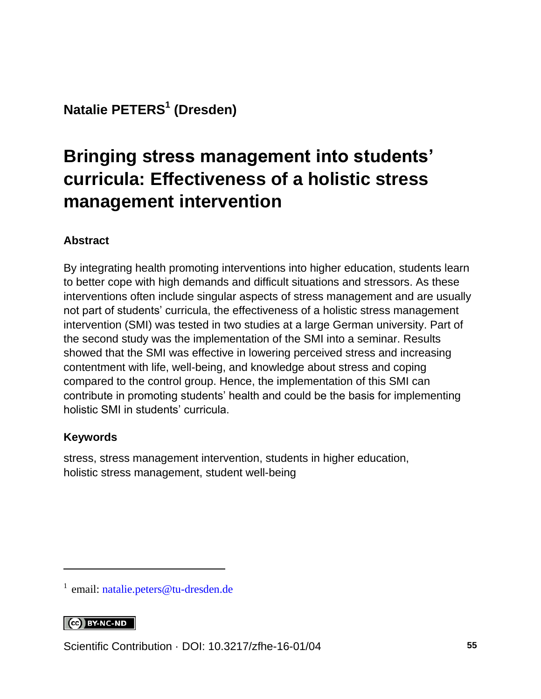**Natalie PETERS<sup>1</sup> (Dresden)**

# **Bringing stress management into students' curricula: Effectiveness of a holistic stress management intervention**

#### **Abstract**

By integrating health promoting interventions into higher education, students learn to better cope with high demands and difficult situations and stressors. As these interventions often include singular aspects of stress management and are usually not part of students' curricula, the effectiveness of a holistic stress management intervention (SMI) was tested in two studies at a large German university. Part of the second study was the implementation of the SMI into a seminar. Results showed that the SMI was effective in lowering perceived stress and increasing contentment with life, well-being, and knowledge about stress and coping compared to the control group. Hence, the implementation of this SMI can contribute in promoting students' health and could be the basis for implementing holistic SMI in students' curricula.

#### **Keywords**

stress, stress management intervention, students in higher education, holistic stress management, student well-being

#### CC BY-NC-ND

l

Scientific Contribution · DOI: [10.3217/zfhe-16-01/04](https://doi.org/10.3217/zfhe-16-01/04) **55**

<sup>&</sup>lt;sup>1</sup> email: [natalie.peters@tu-dresden.de](mailto:natalie.peters@tu-dresden.de)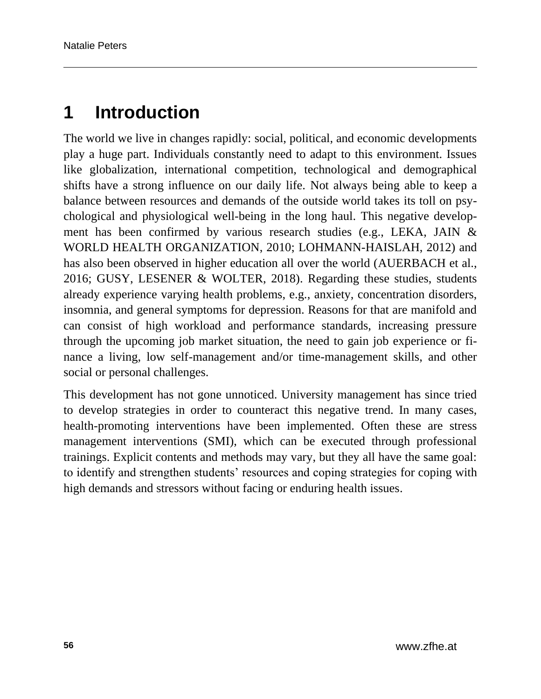# **1 Introduction**

The world we live in changes rapidly: social, political, and economic developments play a huge part. Individuals constantly need to adapt to this environment. Issues like globalization, international competition, technological and demographical shifts have a strong influence on our daily life. Not always being able to keep a balance between resources and demands of the outside world takes its toll on psychological and physiological well-being in the long haul. This negative development has been confirmed by various research studies (e.g., LEKA, JAIN & WORLD HEALTH ORGANIZATION, 2010; LOHMANN-HAISLAH, 2012) and has also been observed in higher education all over the world (AUERBACH et al., 2016; GUSY, LESENER & WOLTER, 2018). Regarding these studies, students already experience varying health problems, e.g., anxiety, concentration disorders, insomnia, and general symptoms for depression. Reasons for that are manifold and can consist of high workload and performance standards, increasing pressure through the upcoming job market situation, the need to gain job experience or finance a living, low self-management and/or time-management skills, and other social or personal challenges.

This development has not gone unnoticed. University management has since tried to develop strategies in order to counteract this negative trend. In many cases, health-promoting interventions have been implemented. Often these are stress management interventions (SMI), which can be executed through professional trainings. Explicit contents and methods may vary, but they all have the same goal: to identify and strengthen students' resources and coping strategies for coping with high demands and stressors without facing or enduring health issues.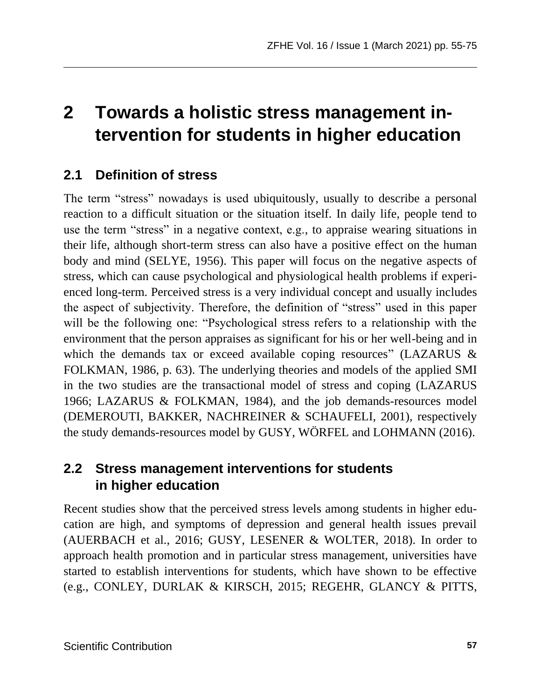# **2 Towards a holistic stress management intervention for students in higher education**

## **2.1 Definition of stress**

The term "stress" nowadays is used ubiquitously, usually to describe a personal reaction to a difficult situation or the situation itself. In daily life, people tend to use the term "stress" in a negative context, e.g., to appraise wearing situations in their life, although short-term stress can also have a positive effect on the human body and mind (SELYE, 1956). This paper will focus on the negative aspects of stress, which can cause psychological and physiological health problems if experienced long-term. Perceived stress is a very individual concept and usually includes the aspect of subjectivity. Therefore, the definition of "stress" used in this paper will be the following one: "Psychological stress refers to a relationship with the environment that the person appraises as significant for his or her well-being and in which the demands tax or exceed available coping resources" (LAZARUS & FOLKMAN, 1986, p. 63). The underlying theories and models of the applied SMI in the two studies are the transactional model of stress and coping (LAZARUS 1966; LAZARUS & FOLKMAN, 1984), and the job demands-resources model (DEMEROUTI, BAKKER, NACHREINER & SCHAUFELI, 2001), respectively the study demands-resources model by GUSY, WÖRFEL and LOHMANN (2016).

### **2.2 Stress management interventions for students in higher education**

Recent studies show that the perceived stress levels among students in higher education are high, and symptoms of depression and general health issues prevail (AUERBACH et al., 2016; GUSY, LESENER & WOLTER, 2018). In order to approach health promotion and in particular stress management, universities have started to establish interventions for students, which have shown to be effective (e.g., CONLEY, DURLAK & KIRSCH, 2015; REGEHR, GLANCY & PITTS,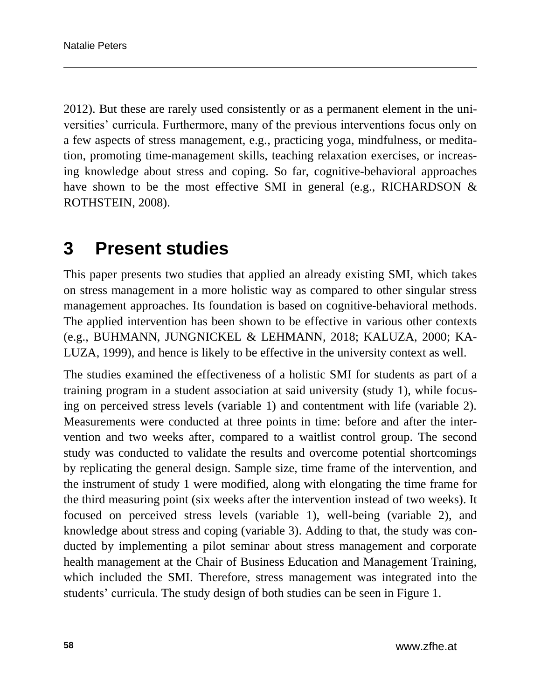2012). But these are rarely used consistently or as a permanent element in the universities' curricula. Furthermore, many of the previous interventions focus only on a few aspects of stress management, e.g., practicing yoga, mindfulness, or meditation, promoting time-management skills, teaching relaxation exercises, or increasing knowledge about stress and coping. So far, cognitive-behavioral approaches have shown to be the most effective SMI in general (e.g., RICHARDSON  $\&$ ROTHSTEIN, 2008).

## **3 Present studies**

This paper presents two studies that applied an already existing SMI, which takes on stress management in a more holistic way as compared to other singular stress management approaches. Its foundation is based on cognitive-behavioral methods. The applied intervention has been shown to be effective in various other contexts (e.g., BUHMANN, JUNGNICKEL & LEHMANN, 2018; KALUZA, 2000; KA-LUZA, 1999), and hence is likely to be effective in the university context as well.

The studies examined the effectiveness of a holistic SMI for students as part of a training program in a student association at said university (study 1), while focusing on perceived stress levels (variable 1) and contentment with life (variable 2). Measurements were conducted at three points in time: before and after the intervention and two weeks after, compared to a waitlist control group. The second study was conducted to validate the results and overcome potential shortcomings by replicating the general design. Sample size, time frame of the intervention, and the instrument of study 1 were modified, along with elongating the time frame for the third measuring point (six weeks after the intervention instead of two weeks). It focused on perceived stress levels (variable 1), well-being (variable 2), and knowledge about stress and coping (variable 3). Adding to that, the study was conducted by implementing a pilot seminar about stress management and corporate health management at the Chair of Business Education and Management Training, which included the SMI. Therefore, stress management was integrated into the students' curricula. The study design of both studies can be seen in Figure 1.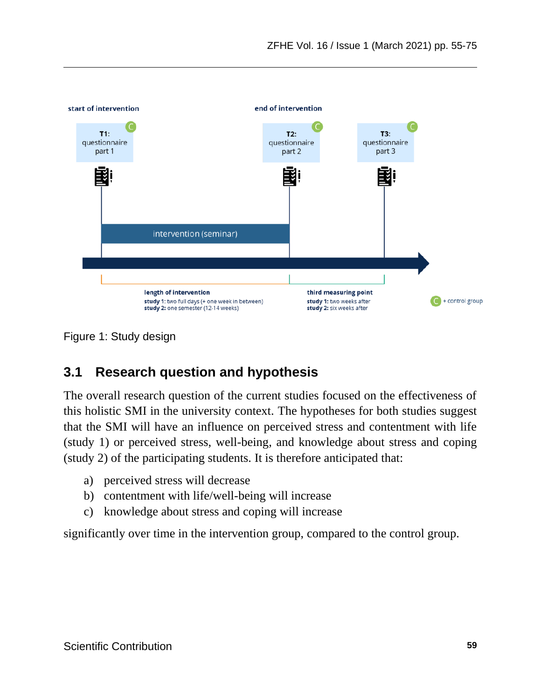

Figure 1: Study design

### **3.1 Research question and hypothesis**

The overall research question of the current studies focused on the effectiveness of this holistic SMI in the university context. The hypotheses for both studies suggest that the SMI will have an influence on perceived stress and contentment with life (study 1) or perceived stress, well-being, and knowledge about stress and coping (study 2) of the participating students. It is therefore anticipated that:

- a) perceived stress will decrease
- b) contentment with life/well-being will increase
- c) knowledge about stress and coping will increase

significantly over time in the intervention group, compared to the control group.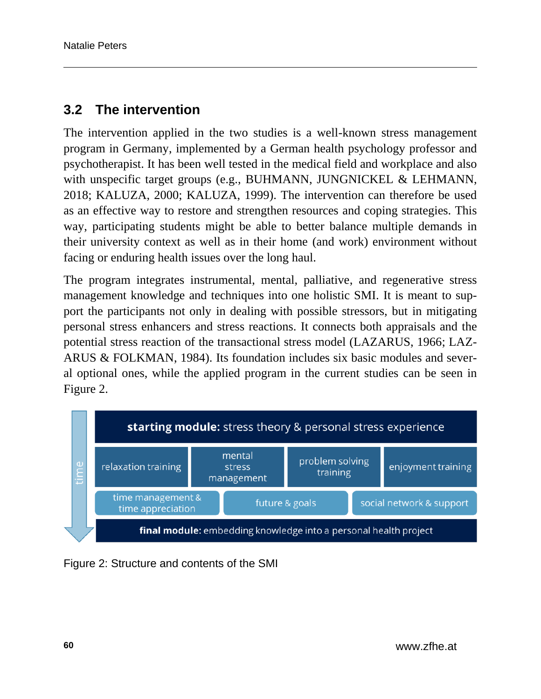### **3.2 The intervention**

The intervention applied in the two studies is a well-known stress management program in Germany, implemented by a German health psychology professor and psychotherapist. It has been well tested in the medical field and workplace and also with unspecific target groups (e.g., BUHMANN, JUNGNICKEL & LEHMANN, 2018; KALUZA, 2000; KALUZA, 1999). The intervention can therefore be used as an effective way to restore and strengthen resources and coping strategies. This way, participating students might be able to better balance multiple demands in their university context as well as in their home (and work) environment without facing or enduring health issues over the long haul.

The program integrates instrumental, mental, palliative, and regenerative stress management knowledge and techniques into one holistic SMI. It is meant to support the participants not only in dealing with possible stressors, but in mitigating personal stress enhancers and stress reactions. It connects both appraisals and the potential stress reaction of the transactional stress model (LAZARUS, 1966; LAZ-ARUS & FOLKMAN, 1984). Its foundation includes six basic modules and several optional ones, while the applied program in the current studies can be seen in Figure 2.



Figure 2: Structure and contents of the SMI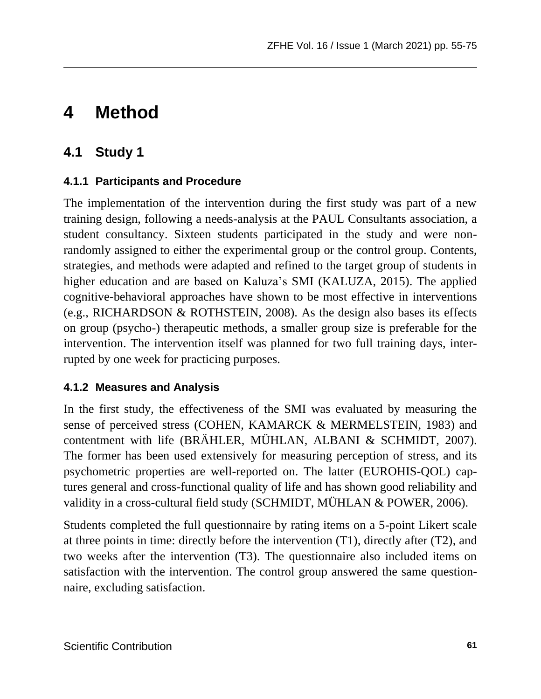# **4 Method**

## **4.1 Study 1**

### **4.1.1 Participants and Procedure**

The implementation of the intervention during the first study was part of a new training design, following a needs-analysis at the PAUL Consultants association, a student consultancy. Sixteen students participated in the study and were nonrandomly assigned to either the experimental group or the control group. Contents, strategies, and methods were adapted and refined to the target group of students in higher education and are based on Kaluza's SMI (KALUZA, 2015). The applied cognitive-behavioral approaches have shown to be most effective in interventions (e.g., RICHARDSON & ROTHSTEIN, 2008). As the design also bases its effects on group (psycho-) therapeutic methods, a smaller group size is preferable for the intervention. The intervention itself was planned for two full training days, interrupted by one week for practicing purposes.

#### **4.1.2 Measures and Analysis**

In the first study, the effectiveness of the SMI was evaluated by measuring the sense of perceived stress (COHEN, KAMARCK & MERMELSTEIN, 1983) and contentment with life (BRÄHLER, MÜHLAN, ALBANI & SCHMIDT, 2007). The former has been used extensively for measuring perception of stress, and its psychometric properties are well-reported on. The latter (EUROHIS-QOL) captures general and cross-functional quality of life and has shown good reliability and validity in a cross-cultural field study (SCHMIDT, MÜHLAN & POWER, 2006).

Students completed the full questionnaire by rating items on a 5-point Likert scale at three points in time: directly before the intervention (T1), directly after (T2), and two weeks after the intervention (T3). The questionnaire also included items on satisfaction with the intervention. The control group answered the same questionnaire, excluding satisfaction.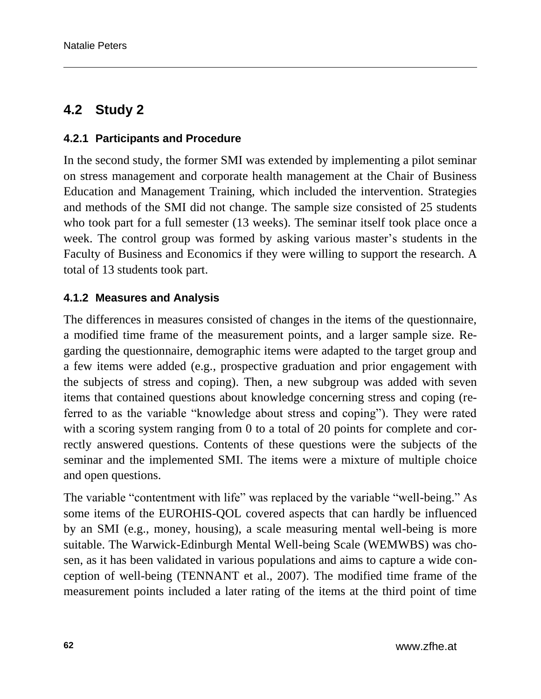### **4.2 Study 2**

#### **4.2.1 Participants and Procedure**

In the second study, the former SMI was extended by implementing a pilot seminar on stress management and corporate health management at the Chair of Business Education and Management Training, which included the intervention. Strategies and methods of the SMI did not change. The sample size consisted of 25 students who took part for a full semester (13 weeks). The seminar itself took place once a week. The control group was formed by asking various master's students in the Faculty of Business and Economics if they were willing to support the research. A total of 13 students took part.

#### **4.1.2 Measures and Analysis**

The differences in measures consisted of changes in the items of the questionnaire, a modified time frame of the measurement points, and a larger sample size. Regarding the questionnaire, demographic items were adapted to the target group and a few items were added (e.g., prospective graduation and prior engagement with the subjects of stress and coping). Then, a new subgroup was added with seven items that contained questions about knowledge concerning stress and coping (referred to as the variable "knowledge about stress and coping"). They were rated with a scoring system ranging from 0 to a total of 20 points for complete and correctly answered questions. Contents of these questions were the subjects of the seminar and the implemented SMI. The items were a mixture of multiple choice and open questions.

The variable "contentment with life" was replaced by the variable "well-being." As some items of the EUROHIS-QOL covered aspects that can hardly be influenced by an SMI (e.g., money, housing), a scale measuring mental well-being is more suitable. The Warwick-Edinburgh Mental Well-being Scale (WEMWBS) was chosen, as it has been validated in various populations and aims to capture a wide conception of well-being (TENNANT et al., 2007). The modified time frame of the measurement points included a later rating of the items at the third point of time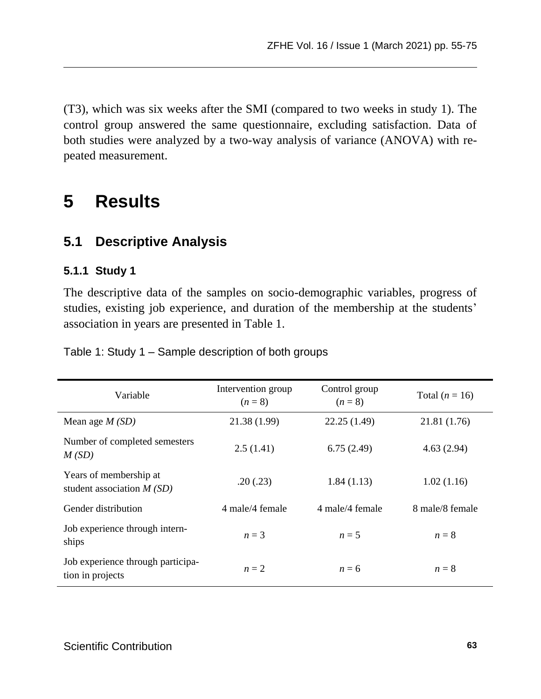(T3), which was six weeks after the SMI (compared to two weeks in study 1). The control group answered the same questionnaire, excluding satisfaction. Data of both studies were analyzed by a two-way analysis of variance (ANOVA) with repeated measurement.

# **5 Results**

### **5.1 Descriptive Analysis**

#### **5.1.1 Study 1**

The descriptive data of the samples on socio-demographic variables, progress of studies, existing job experience, and duration of the membership at the students' association in years are presented in Table 1.

Table 1: Study 1 – Sample description of both groups

| Variable                                              | Intervention group<br>$(n=8)$ | Control group<br>$(n=8)$ | Total $(n = 16)$ |  |  |
|-------------------------------------------------------|-------------------------------|--------------------------|------------------|--|--|
| Mean age $M(SD)$                                      | 21.38 (1.99)                  | 22.25(1.49)              | 21.81 (1.76)     |  |  |
| Number of completed semesters<br>M(SD)                | 2.5(1.41)                     | 6.75(2.49)               | 4.63(2.94)       |  |  |
| Years of membership at<br>student association $M(SD)$ | .20(.23)                      | 1.84(1.13)               | 1.02(1.16)       |  |  |
| Gender distribution                                   | 4 male/4 female               | 4 male/4 female          | 8 male/8 female  |  |  |
| Job experience through intern-<br>ships               | $n=3$                         | $n=5$                    | $n=8$            |  |  |
| Job experience through participa-<br>tion in projects | $n=2$                         | $n = 6$                  | $n=8$            |  |  |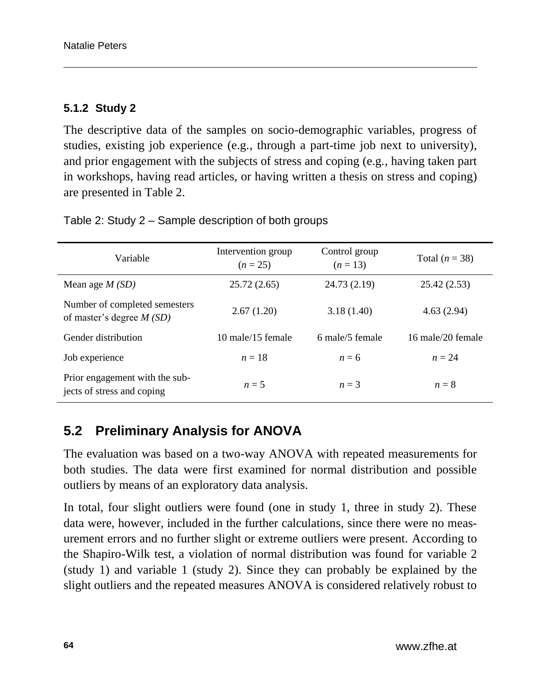#### **5.1.2 Study 2**

The descriptive data of the samples on socio-demographic variables, progress of studies, existing job experience (e.g., through a part-time job next to university), and prior engagement with the subjects of stress and coping (e.g., having taken part in workshops, having read articles, or having written a thesis on stress and coping) are presented in Table 2.

| Variable                                                     | Intervention group<br>$(n = 25)$ | Control group<br>$(n=13)$ | Total $(n = 38)$  |  |  |
|--------------------------------------------------------------|----------------------------------|---------------------------|-------------------|--|--|
| Mean age $M(SD)$                                             | 25.72(2.65)                      | 24.73 (2.19)              | 25.42 (2.53)      |  |  |
| Number of completed semesters<br>of master's degree $M(SD)$  | 2.67(1.20)                       | 3.18(1.40)                | 4.63(2.94)        |  |  |
| Gender distribution                                          | $10$ male/15 female              | 6 male/5 female           | 16 male/20 female |  |  |
| Job experience                                               | $n=18$                           | $n = 6$                   | $n = 24$          |  |  |
| Prior engagement with the sub-<br>jects of stress and coping | $n=5$                            | $n=3$                     | $n=8$             |  |  |

Table 2: Study 2 – Sample description of both groups

## **5.2 Preliminary Analysis for ANOVA**

The evaluation was based on a two-way ANOVA with repeated measurements for both studies. The data were first examined for normal distribution and possible outliers by means of an exploratory data analysis.

In total, four slight outliers were found (one in study 1, three in study 2). These data were, however, included in the further calculations, since there were no measurement errors and no further slight or extreme outliers were present. According to the Shapiro-Wilk test, a violation of normal distribution was found for variable 2 (study 1) and variable 1 (study 2). Since they can probably be explained by the slight outliers and the repeated measures ANOVA is considered relatively robust to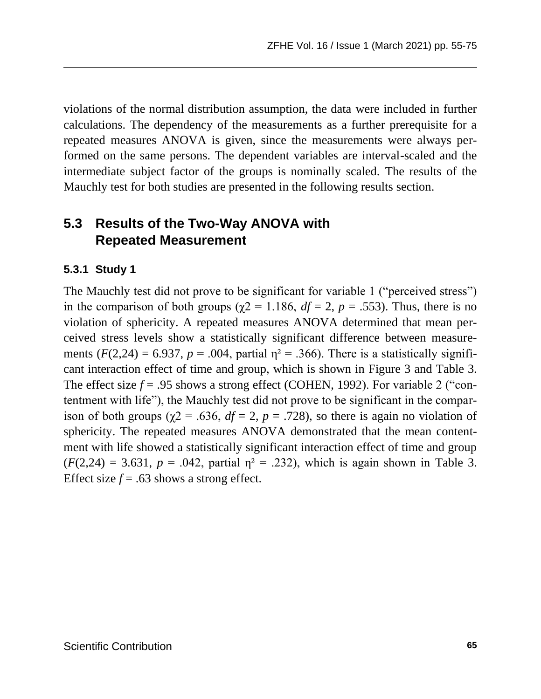violations of the normal distribution assumption, the data were included in further calculations. The dependency of the measurements as a further prerequisite for a repeated measures ANOVA is given, since the measurements were always performed on the same persons. The dependent variables are interval-scaled and the intermediate subject factor of the groups is nominally scaled. The results of the Mauchly test for both studies are presented in the following results section.

### **5.3 Results of the Two-Way ANOVA with Repeated Measurement**

#### **5.3.1 Study 1**

The Mauchly test did not prove to be significant for variable 1 ("perceived stress") in the comparison of both groups ( $\chi$ 2 = 1.186,  $df = 2$ ,  $p = .553$ ). Thus, there is no violation of sphericity. A repeated measures ANOVA determined that mean perceived stress levels show a statistically significant difference between measurements ( $F(2,24) = 6.937$ ,  $p = .004$ , partial  $\eta^2 = .366$ ). There is a statistically significant interaction effect of time and group, which is shown in Figure 3 and Table 3. The effect size  $f = .95$  shows a strong effect (COHEN, 1992). For variable 2 ("contentment with life"), the Mauchly test did not prove to be significant in the comparison of both groups ( $\gamma$ 2 = .636,  $df = 2$ ,  $p = .728$ ), so there is again no violation of sphericity. The repeated measures ANOVA demonstrated that the mean contentment with life showed a statistically significant interaction effect of time and group  $(F(2,24) = 3.631, p = .042,$  partial  $\eta^2 = .232$ ), which is again shown in Table 3. Effect size  $f = .63$  shows a strong effect.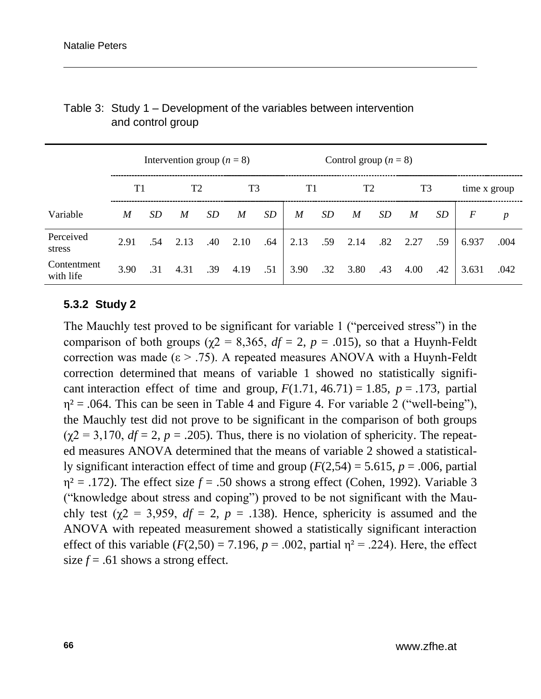|                          |      |     | Intervention group ( $n = 8$ ) |     |      |     | Control group $(n = 8)$ |     |      |     |                |     |              |                  |
|--------------------------|------|-----|--------------------------------|-----|------|-----|-------------------------|-----|------|-----|----------------|-----|--------------|------------------|
|                          | T1   |     | T2                             |     | T3   |     | T1                      |     | T2   |     | T <sub>3</sub> |     | time x group |                  |
| Variable                 | M    | SD  | M                              | SD  | M    | SD  | M                       | SD. | M    | SD  | M              | SD  | F            | $\boldsymbol{p}$ |
| Perceived<br>stress      | 2.91 |     | $.54 \quad 2.13$               | .40 | 2.10 | .64 | 2.13                    | .59 | 2.14 | .82 | 2.27           | .59 | 6.937        | .004             |
| Contentment<br>with life | 3.90 | .31 | 4.31                           | .39 | 4.19 | .51 | 3.90                    | .32 | 3.80 | .43 | 4.00           | .42 | 3.631        | .042             |

#### Table 3: Study 1 – Development of the variables between intervention and control group

#### **5.3.2 Study 2**

The Mauchly test proved to be significant for variable 1 ("perceived stress") in the comparison of both groups ( $\chi$ 2 = 8,365, *df* = 2, *p* = .015), so that a Huynh-Feldt correction was made ( $\varepsilon$  > .75). A repeated measures ANOVA with a Huynh-Feldt correction determined that means of variable 1 showed no statistically significant interaction effect of time and group,  $F(1.71, 46.71) = 1.85$ ,  $p = .173$ , partial  $\eta^2$  = .064. This can be seen in Table 4 and Figure 4. For variable 2 ("well-being"), the Mauchly test did not prove to be significant in the comparison of both groups  $(\gamma 2 = 3, 170, df = 2, p = .205)$ . Thus, there is no violation of sphericity. The repeated measures ANOVA determined that the means of variable 2 showed a statistically significant interaction effect of time and group  $(F(2,54) = 5.615, p = .006,$  partial  $\eta^2$  = .172). The effect size  $f = .50$  shows a strong effect (Cohen, 1992). Variable 3 ("knowledge about stress and coping") proved to be not significant with the Mauchly test ( $\gamma$ 2 = 3,959,  $df = 2$ ,  $p = .138$ ). Hence, sphericity is assumed and the ANOVA with repeated measurement showed a statistically significant interaction effect of this variable  $(F(2,50) = 7.196, p = .002,$  partial  $\eta^2 = .224$ ). Here, the effect size  $f = .61$  shows a strong effect.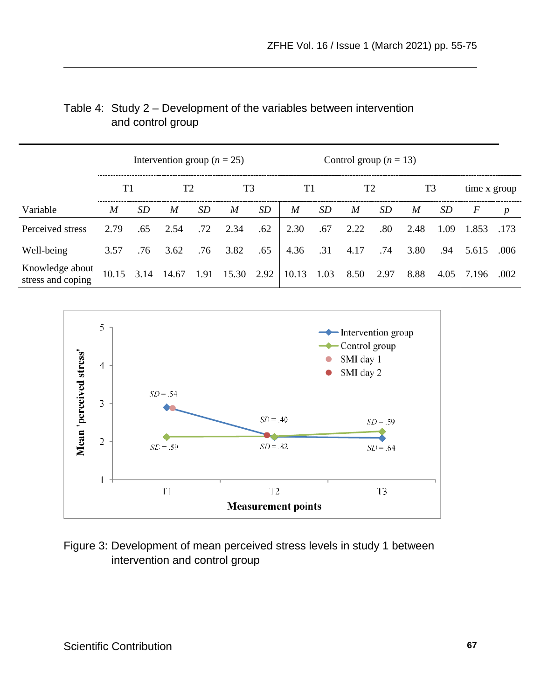|                                      | Intervention group ( $n = 25$ ) |     |                |      |       |      |       | Control group ( $n = 13$ ) |                |      |      |      |              |      |
|--------------------------------------|---------------------------------|-----|----------------|------|-------|------|-------|----------------------------|----------------|------|------|------|--------------|------|
|                                      | T1                              |     | T <sub>2</sub> |      | T3    |      | T1    |                            | T <sub>2</sub> |      | T3   |      | time x group |      |
| Variable                             | M                               | SD  | M              | SD   | M     | SD   | M     | SD                         | M              | SD   | M    | SD   | F            | p    |
| Perceived stress                     | 2.79                            | .65 | 2.54           | .72  | 2.34  | .62  | 2.30  | .67                        | 2.22           | .80  | 2.48 | 1.09 | 1.853        | .173 |
| Well-being                           | 3.57                            | .76 | 3.62           | .76  | 3.82  | .65  | 4.36  | .31                        | 4.17           | .74  | 3.80 | .94  | 5.615        | .006 |
| Knowledge about<br>stress and coping | 10.15                           |     | 3.14 14.67     | 1.91 | 15.30 | 2.92 | 10.13 | 1.03                       | 8.50           | 2.97 | 8.88 | 4.05 | 7.196        | .002 |

#### Table 4: Study 2 – Development of the variables between intervention and control group



#### Figure 3: Development of mean perceived stress levels in study 1 between intervention and control group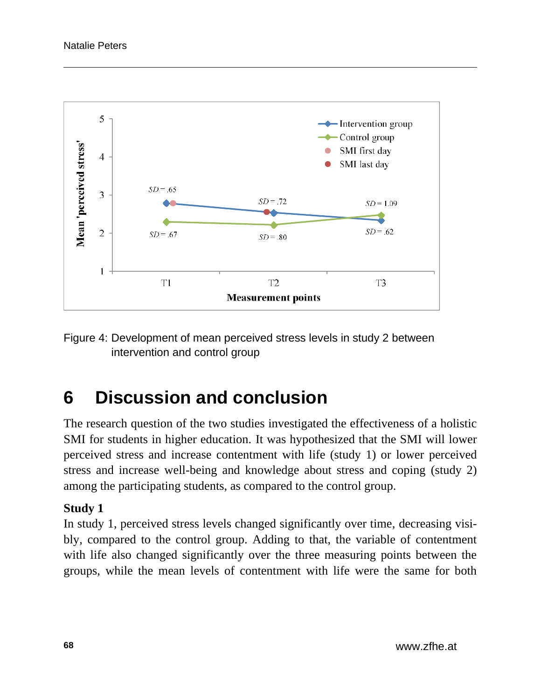

Figure 4: Development of mean perceived stress levels in study 2 between intervention and control group

# **6 Discussion and conclusion**

The research question of the two studies investigated the effectiveness of a holistic SMI for students in higher education. It was hypothesized that the SMI will lower perceived stress and increase contentment with life (study 1) or lower perceived stress and increase well-being and knowledge about stress and coping (study 2) among the participating students, as compared to the control group.

#### **Study 1**

In study 1, perceived stress levels changed significantly over time, decreasing visibly, compared to the control group. Adding to that, the variable of contentment with life also changed significantly over the three measuring points between the groups, while the mean levels of contentment with life were the same for both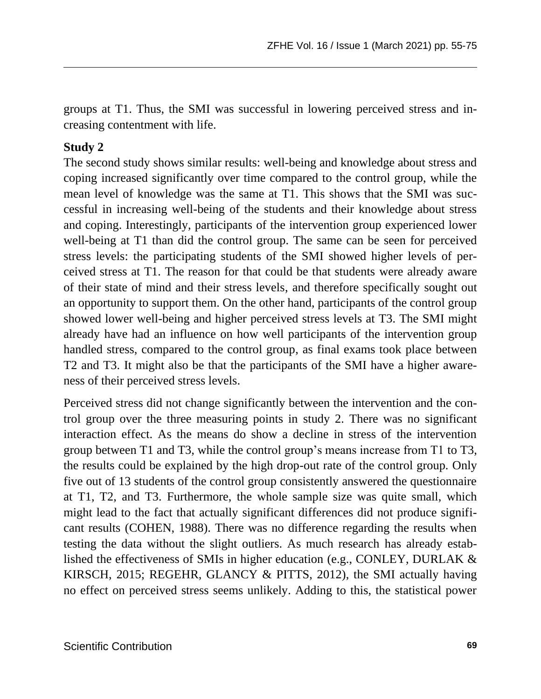groups at T1. Thus, the SMI was successful in lowering perceived stress and increasing contentment with life.

#### **Study 2**

The second study shows similar results: well-being and knowledge about stress and coping increased significantly over time compared to the control group, while the mean level of knowledge was the same at T1. This shows that the SMI was successful in increasing well-being of the students and their knowledge about stress and coping. Interestingly, participants of the intervention group experienced lower well-being at T1 than did the control group. The same can be seen for perceived stress levels: the participating students of the SMI showed higher levels of perceived stress at T1. The reason for that could be that students were already aware of their state of mind and their stress levels, and therefore specifically sought out an opportunity to support them. On the other hand, participants of the control group showed lower well-being and higher perceived stress levels at T3. The SMI might already have had an influence on how well participants of the intervention group handled stress, compared to the control group, as final exams took place between T2 and T3. It might also be that the participants of the SMI have a higher awareness of their perceived stress levels.

Perceived stress did not change significantly between the intervention and the control group over the three measuring points in study 2. There was no significant interaction effect. As the means do show a decline in stress of the intervention group between T1 and T3, while the control group's means increase from T1 to T3, the results could be explained by the high drop-out rate of the control group. Only five out of 13 students of the control group consistently answered the questionnaire at T1, T2, and T3. Furthermore, the whole sample size was quite small, which might lead to the fact that actually significant differences did not produce significant results (COHEN, 1988). There was no difference regarding the results when testing the data without the slight outliers. As much research has already established the effectiveness of SMIs in higher education (e.g., CONLEY, DURLAK & KIRSCH, 2015; REGEHR, GLANCY & PITTS, 2012), the SMI actually having no effect on perceived stress seems unlikely. Adding to this, the statistical power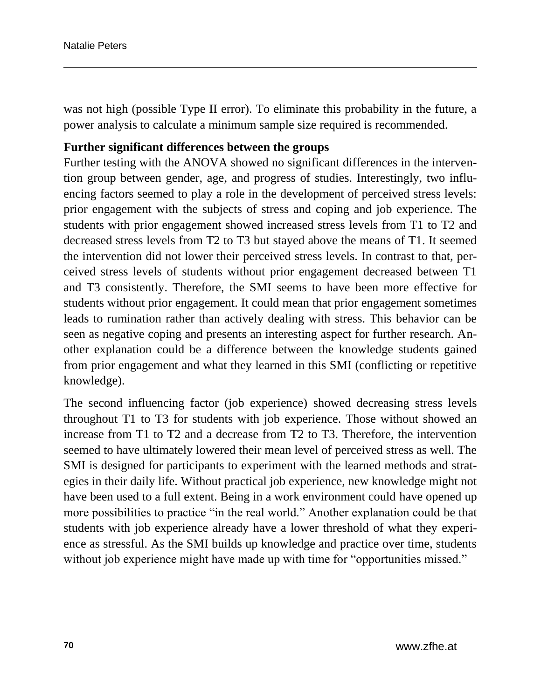was not high (possible Type II error). To eliminate this probability in the future, a power analysis to calculate a minimum sample size required is recommended.

#### **Further significant differences between the groups**

Further testing with the ANOVA showed no significant differences in the intervention group between gender, age, and progress of studies. Interestingly, two influencing factors seemed to play a role in the development of perceived stress levels: prior engagement with the subjects of stress and coping and job experience. The students with prior engagement showed increased stress levels from T1 to T2 and decreased stress levels from T2 to T3 but stayed above the means of T1. It seemed the intervention did not lower their perceived stress levels. In contrast to that, perceived stress levels of students without prior engagement decreased between T1 and T3 consistently. Therefore, the SMI seems to have been more effective for students without prior engagement. It could mean that prior engagement sometimes leads to rumination rather than actively dealing with stress. This behavior can be seen as negative coping and presents an interesting aspect for further research. Another explanation could be a difference between the knowledge students gained from prior engagement and what they learned in this SMI (conflicting or repetitive knowledge).

The second influencing factor (job experience) showed decreasing stress levels throughout T1 to T3 for students with job experience. Those without showed an increase from T1 to T2 and a decrease from T2 to T3. Therefore, the intervention seemed to have ultimately lowered their mean level of perceived stress as well. The SMI is designed for participants to experiment with the learned methods and strategies in their daily life. Without practical job experience, new knowledge might not have been used to a full extent. Being in a work environment could have opened up more possibilities to practice "in the real world." Another explanation could be that students with job experience already have a lower threshold of what they experience as stressful. As the SMI builds up knowledge and practice over time, students without job experience might have made up with time for "opportunities missed."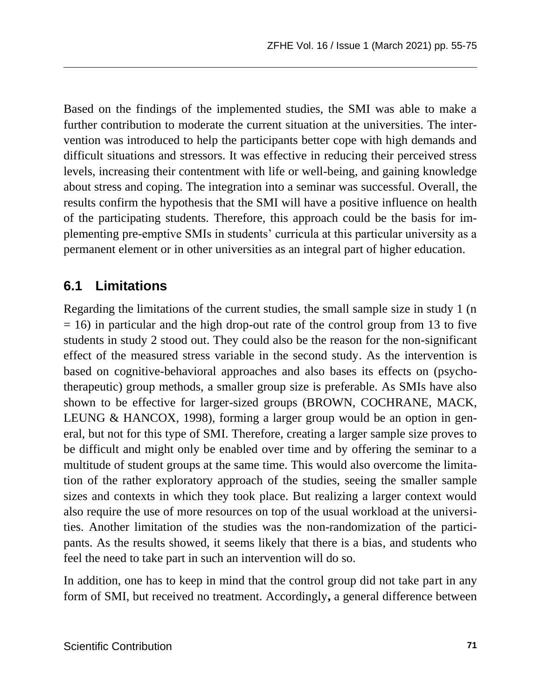Based on the findings of the implemented studies, the SMI was able to make a further contribution to moderate the current situation at the universities. The intervention was introduced to help the participants better cope with high demands and difficult situations and stressors. It was effective in reducing their perceived stress levels, increasing their contentment with life or well-being, and gaining knowledge about stress and coping. The integration into a seminar was successful. Overall, the results confirm the hypothesis that the SMI will have a positive influence on health of the participating students. Therefore, this approach could be the basis for implementing pre-emptive SMIs in students' curricula at this particular university as a permanent element or in other universities as an integral part of higher education.

### **6.1 Limitations**

Regarding the limitations of the current studies, the small sample size in study 1 (n  $= 16$ ) in particular and the high drop-out rate of the control group from 13 to five students in study 2 stood out. They could also be the reason for the non-significant effect of the measured stress variable in the second study. As the intervention is based on cognitive-behavioral approaches and also bases its effects on (psychotherapeutic) group methods, a smaller group size is preferable. As SMIs have also shown to be effective for larger-sized groups (BROWN, COCHRANE, MACK, LEUNG & HANCOX, 1998), forming a larger group would be an option in general, but not for this type of SMI. Therefore, creating a larger sample size proves to be difficult and might only be enabled over time and by offering the seminar to a multitude of student groups at the same time. This would also overcome the limitation of the rather exploratory approach of the studies, seeing the smaller sample sizes and contexts in which they took place. But realizing a larger context would also require the use of more resources on top of the usual workload at the universities. Another limitation of the studies was the non-randomization of the participants. As the results showed, it seems likely that there is a bias, and students who feel the need to take part in such an intervention will do so.

In addition, one has to keep in mind that the control group did not take part in any form of SMI, but received no treatment. Accordingly**,** a general difference between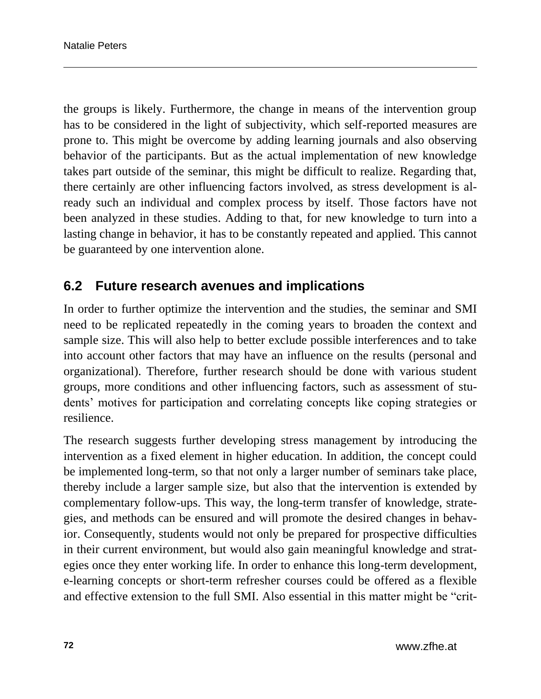the groups is likely. Furthermore, the change in means of the intervention group has to be considered in the light of subjectivity, which self-reported measures are prone to. This might be overcome by adding learning journals and also observing behavior of the participants. But as the actual implementation of new knowledge takes part outside of the seminar, this might be difficult to realize. Regarding that, there certainly are other influencing factors involved, as stress development is already such an individual and complex process by itself. Those factors have not been analyzed in these studies. Adding to that, for new knowledge to turn into a lasting change in behavior, it has to be constantly repeated and applied. This cannot be guaranteed by one intervention alone.

### **6.2 Future research avenues and implications**

In order to further optimize the intervention and the studies, the seminar and SMI need to be replicated repeatedly in the coming years to broaden the context and sample size. This will also help to better exclude possible interferences and to take into account other factors that may have an influence on the results (personal and organizational). Therefore, further research should be done with various student groups, more conditions and other influencing factors, such as assessment of students' motives for participation and correlating concepts like coping strategies or resilience.

The research suggests further developing stress management by introducing the intervention as a fixed element in higher education. In addition, the concept could be implemented long-term, so that not only a larger number of seminars take place, thereby include a larger sample size, but also that the intervention is extended by complementary follow-ups. This way, the long-term transfer of knowledge, strategies, and methods can be ensured and will promote the desired changes in behavior. Consequently, students would not only be prepared for prospective difficulties in their current environment, but would also gain meaningful knowledge and strategies once they enter working life. In order to enhance this long-term development, e-learning concepts or short-term refresher courses could be offered as a flexible and effective extension to the full SMI. Also essential in this matter might be "crit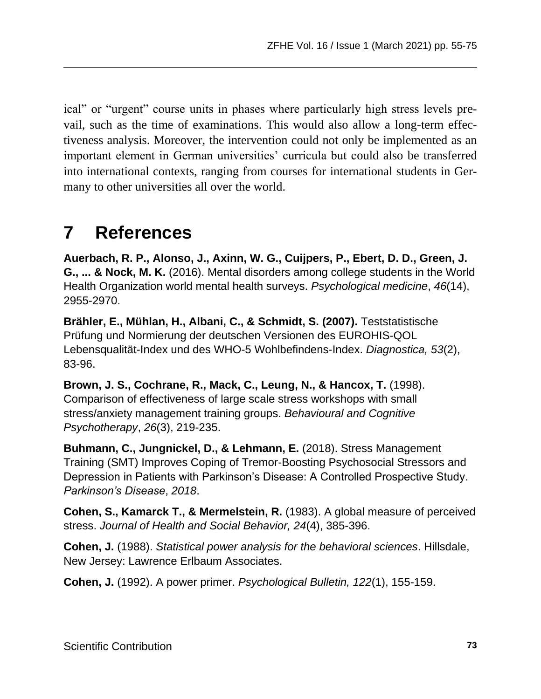ical" or "urgent" course units in phases where particularly high stress levels prevail, such as the time of examinations. This would also allow a long-term effectiveness analysis. Moreover, the intervention could not only be implemented as an important element in German universities' curricula but could also be transferred into international contexts, ranging from courses for international students in Germany to other universities all over the world.

# **7 References**

**Auerbach, R. P., Alonso, J., Axinn, W. G., Cuijpers, P., Ebert, D. D., Green, J. G., ... & Nock, M. K.** (2016). Mental disorders among college students in the World Health Organization world mental health surveys. *Psychological medicine*, *46*(14), 2955-2970.

**Brähler, E., Mühlan, H., Albani, C., & Schmidt, S. (2007).** Teststatistische Prüfung und Normierung der deutschen Versionen des EUROHIS-QOL Lebensqualität-Index und des WHO-5 Wohlbefindens-Index. *Diagnostica, 53*(2), 83-96.

**Brown, J. S., Cochrane, R., Mack, C., Leung, N., & Hancox, T.** (1998). Comparison of effectiveness of large scale stress workshops with small stress/anxiety management training groups. *Behavioural and Cognitive Psychotherapy*, *26*(3), 219-235.

**Buhmann, C., Jungnickel, D., & Lehmann, E.** (2018). Stress Management Training (SMT) Improves Coping of Tremor-Boosting Psychosocial Stressors and Depression in Patients with Parkinson's Disease: A Controlled Prospective Study. *Parkinson's Disease*, *2018*.

**Cohen, S., Kamarck T., & Mermelstein, R.** (1983). A global measure of perceived stress. *Journal of Health and Social Behavior, 24*(4), 385-396.

**Cohen, J.** (1988). *Statistical power analysis for the behavioral sciences*. Hillsdale, New Jersey: Lawrence Erlbaum Associates.

**Cohen, J.** (1992). A power primer. *Psychological Bulletin, 122*(1), 155-159.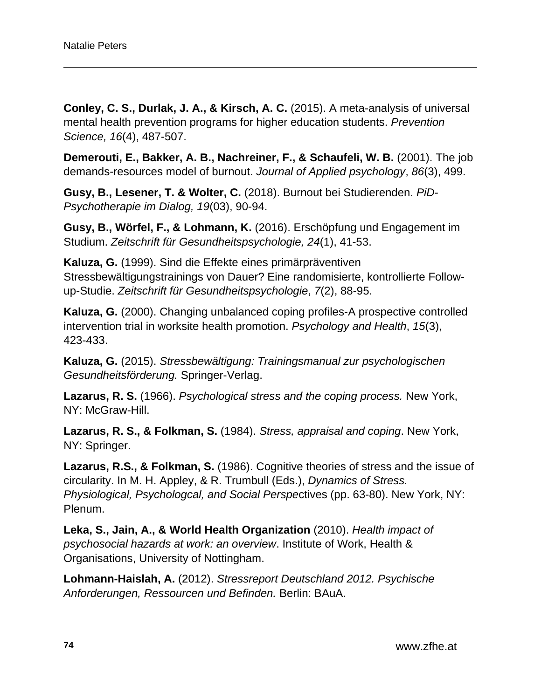**Conley, C. S., Durlak, J. A., & Kirsch, A. C.** (2015). A meta-analysis of universal mental health prevention programs for higher education students. *Prevention Science, 16*(4), 487-507.

**Demerouti, E., Bakker, A. B., Nachreiner, F., & Schaufeli, W. B.** (2001). The job demands-resources model of burnout. *Journal of Applied psychology*, *86*(3), 499.

**Gusy, B., Lesener, T. & Wolter, C.** (2018). Burnout bei Studierenden. *PiD-Psychotherapie im Dialog, 19*(03), 90-94.

**Gusy, B., Wörfel, F., & Lohmann, K.** (2016). Erschöpfung und Engagement im Studium. *Zeitschrift für Gesundheitspsychologie, 24*(1), 41-53.

**Kaluza, G.** (1999). Sind die Effekte eines primärpräventiven Stressbewältigungstrainings von Dauer? Eine randomisierte, kontrollierte Followup-Studie. *Zeitschrift für Gesundheitspsychologie*, *7*(2), 88-95.

**Kaluza, G.** (2000). Changing unbalanced coping profiles-A prospective controlled intervention trial in worksite health promotion. *Psychology and Health*, *15*(3), 423-433.

**Kaluza, G.** (2015). *Stressbewältigung: Trainingsmanual zur psychologischen Gesundheitsförderung.* Springer-Verlag.

**Lazarus, R. S.** (1966). *Psychological stress and the coping process.* New York, NY: McGraw-Hill.

**Lazarus, R. S., & Folkman, S.** (1984). *Stress, appraisal and coping*. New York, NY: Springer.

**Lazarus, R.S., & Folkman, S.** (1986). Cognitive theories of stress and the issue of circularity. In M. H. Appley, & R. Trumbull (Eds.), *Dynamics of Stress. Physiological, Psychologcal, and Social Perspe*ctives (pp. 63-80). New York, NY: Plenum.

**Leka, S., Jain, A., & World Health Organization** (2010). *Health impact of psychosocial hazards at work: an overview*. Institute of Work, Health & Organisations, University of Nottingham.

**Lohmann-Haislah, A.** (2012). *Stressreport Deutschland 2012. Psychische Anforderungen, Ressourcen und Befinden.* Berlin: BAuA.